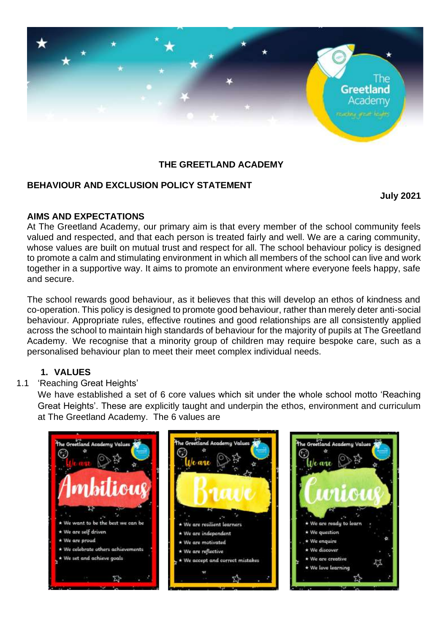

## **THE GREETLAND ACADEMY**

## **BEHAVIOUR AND EXCLUSION POLICY STATEMENT**

**July 2021**

## **AIMS AND EXPECTATIONS**

At The Greetland Academy, our primary aim is that every member of the school community feels valued and respected, and that each person is treated fairly and well. We are a caring community, whose values are built on mutual trust and respect for all. The school behaviour policy is designed to promote a calm and stimulating environment in which all members of the school can live and work together in a supportive way. It aims to promote an environment where everyone feels happy, safe and secure.

The school rewards good behaviour, as it believes that this will develop an ethos of kindness and co-operation. This policy is designed to promote good behaviour, rather than merely deter anti-social behaviour. Appropriate rules, effective routines and good relationships are all consistently applied across the school to maintain high standards of behaviour for the majority of pupils at The Greetland Academy. We recognise that a minority group of children may require bespoke care, such as a personalised behaviour plan to meet their meet complex individual needs.

## **1. VALUES**

## 1.1 'Reaching Great Heights'

We have established a set of 6 core values which sit under the whole school motto 'Reaching Great Heights'. These are explicitly taught and underpin the ethos, environment and curriculum at The Greetland Academy. The 6 values are

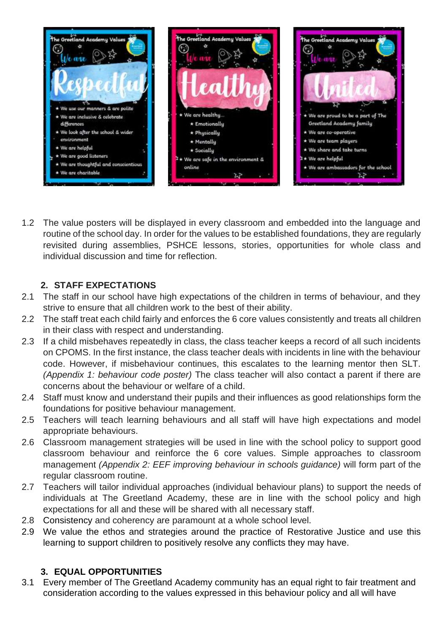

1.2 The value posters will be displayed in every classroom and embedded into the language and routine of the school day. In order for the values to be established foundations, they are regularly revisited during assemblies, PSHCE lessons, stories, opportunities for whole class and individual discussion and time for reflection.

## **2. STAFF EXPECTATIONS**

- 2.1 The staff in our school have high expectations of the children in terms of behaviour, and they strive to ensure that all children work to the best of their ability.
- 2.2 The staff treat each child fairly and enforces the 6 core values consistently and treats all children in their class with respect and understanding.
- 2.3 If a child misbehaves repeatedly in class, the class teacher keeps a record of all such incidents on CPOMS. In the first instance, the class teacher deals with incidents in line with the behaviour code. However, if misbehaviour continues, this escalates to the learning mentor then SLT. *(Appendix 1: behaviour code poster)* The class teacher will also contact a parent if there are concerns about the behaviour or welfare of a child.
- 2.4 Staff must know and understand their pupils and their influences as good relationships form the foundations for positive behaviour management.
- 2.5 Teachers will teach learning behaviours and all staff will have high expectations and model appropriate behaviours.
- 2.6 Classroom management strategies will be used in line with the school policy to support good classroom behaviour and reinforce the 6 core values. Simple approaches to classroom management *(Appendix 2: EEF improving behaviour in schools guidance)* will form part of the regular classroom routine.
- 2.7 Teachers will tailor individual approaches (individual behaviour plans) to support the needs of individuals at The Greetland Academy, these are in line with the school policy and high expectations for all and these will be shared with all necessary staff.
- 2.8 Consistency and coherency are paramount at a whole school level.
- 2.9 We value the ethos and strategies around the practice of Restorative Justice and use this learning to support children to positively resolve any conflicts they may have.

# **3. EQUAL OPPORTUNITIES**

3.1 Every member of The Greetland Academy community has an equal right to fair treatment and consideration according to the values expressed in this behaviour policy and all will have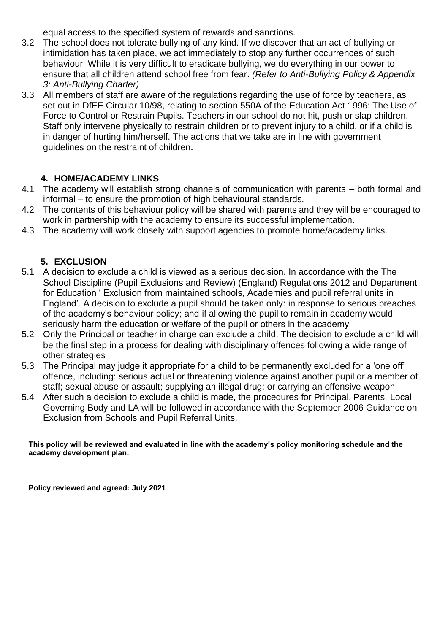equal access to the specified system of rewards and sanctions.

- 3.2 The school does not tolerate bullying of any kind. If we discover that an act of bullying or intimidation has taken place, we act immediately to stop any further occurrences of such behaviour. While it is very difficult to eradicate bullying, we do everything in our power to ensure that all children attend school free from fear. *(Refer to Anti-Bullying Policy & Appendix 3: Anti-Bullying Charter)*
- 3.3 All members of staff are aware of the regulations regarding the use of force by teachers, as set out in DfEE Circular 10/98, relating to section 550A of the Education Act 1996: The Use of Force to Control or Restrain Pupils. Teachers in our school do not hit, push or slap children. Staff only intervene physically to restrain children or to prevent injury to a child, or if a child is in danger of hurting him/herself. The actions that we take are in line with government guidelines on the restraint of children.

## **4. HOME/ACADEMY LINKS**

- 4.1 The academy will establish strong channels of communication with parents both formal and informal – to ensure the promotion of high behavioural standards.
- 4.2 The contents of this behaviour policy will be shared with parents and they will be encouraged to work in partnership with the academy to ensure its successful implementation.
- 4.3 The academy will work closely with support agencies to promote home/academy links.

## **5. EXCLUSION**

- 5.1 A decision to exclude a child is viewed as a serious decision. In accordance with the The School Discipline (Pupil Exclusions and Review) (England) Regulations 2012 and Department for Education ' Exclusion from maintained schools, Academies and pupil referral units in England'. A decision to exclude a pupil should be taken only: in response to serious breaches of the academy's behaviour policy; and if allowing the pupil to remain in academy would seriously harm the education or welfare of the pupil or others in the academy'
- 5.2 Only the Principal or teacher in charge can exclude a child. The decision to exclude a child will be the final step in a process for dealing with disciplinary offences following a wide range of other strategies
- 5.3 The Principal may judge it appropriate for a child to be permanently excluded for a 'one off' offence, including: serious actual or threatening violence against another pupil or a member of staff; sexual abuse or assault; supplying an illegal drug; or carrying an offensive weapon
- 5.4 After such a decision to exclude a child is made, the procedures for Principal, Parents, Local Governing Body and LA will be followed in accordance with the September 2006 Guidance on Exclusion from Schools and Pupil Referral Units.

#### **This policy will be reviewed and evaluated in line with the academy's policy monitoring schedule and the academy development plan.**

**Policy reviewed and agreed: July 2021**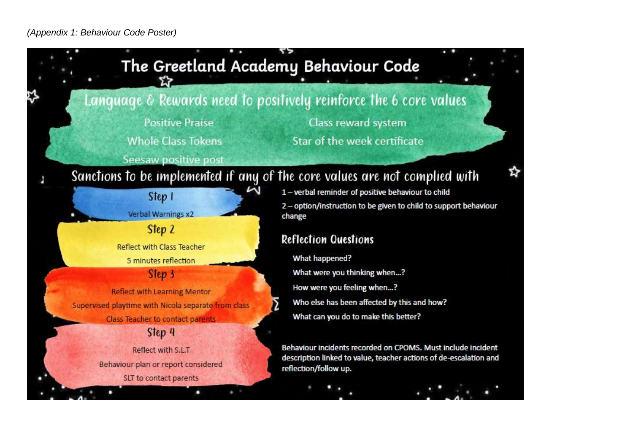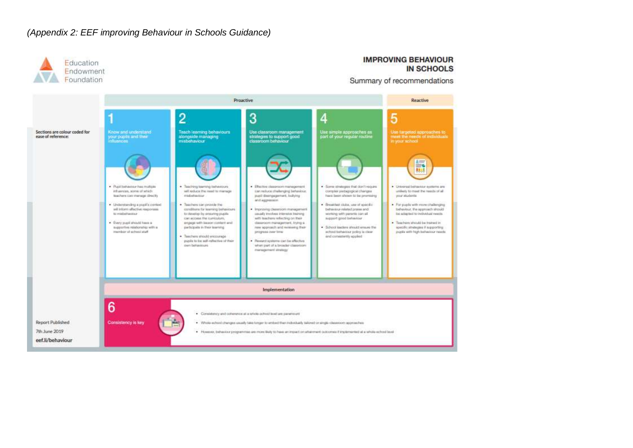#### *(Appendix 2: EEF improving Behaviour in Schools Guidance)*